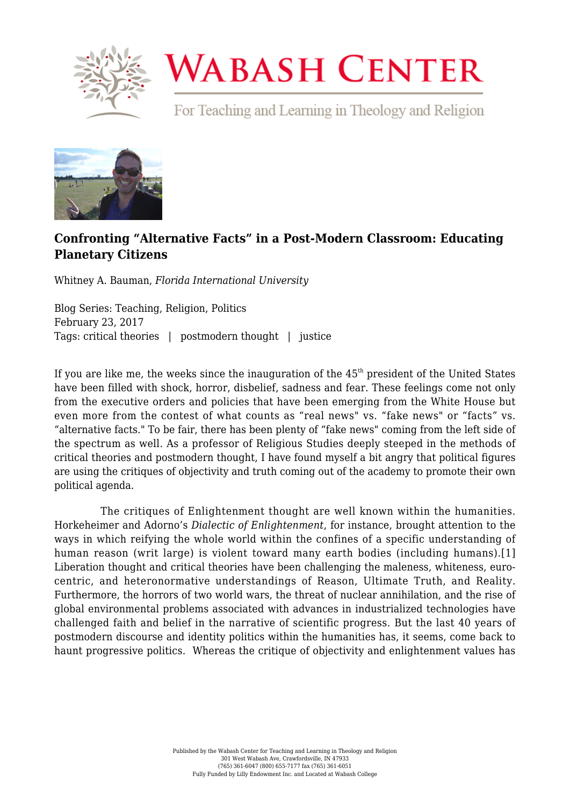

## **WABASH CENTER**

For Teaching and Learning in Theology and Religion



## **[Confronting "Alternative Facts" in a Post-Modern Classroom: Educating](https://www.wabashcenter.wabash.edu/2017/02/confronting-alternative-facts-in-a-post-modern-classroom-educating-planetary-citizens/) [Planetary Citizens](https://www.wabashcenter.wabash.edu/2017/02/confronting-alternative-facts-in-a-post-modern-classroom-educating-planetary-citizens/)**

Whitney A. Bauman, *Florida International University*

Blog Series: Teaching, Religion, Politics February 23, 2017 Tags: critical theories | postmodern thought | justice

If you are like me, the weeks since the inauguration of the  $45<sup>th</sup>$  president of the United States have been filled with shock, horror, disbelief, sadness and fear. These feelings come not only from the executive orders and policies that have been emerging from the White House but even more from the contest of what counts as "real news" vs. "fake news" or "facts" vs. "alternative facts." To be fair, there has been plenty of "fake news" coming from the left side of the spectrum as well. As a professor of Religious Studies deeply steeped in the methods of critical theories and postmodern thought, I have found myself a bit angry that political figures are using the critiques of objectivity and truth coming out of the academy to promote their own political agenda.

 The critiques of Enlightenment thought are well known within the humanities. Horkeheimer and Adorno's *Dialectic of Enlightenment*, for instance, brought attention to the ways in which reifying the whole world within the confines of a specific understanding of human reason (writ large) is violent toward many earth bodies (including humans).[\[1\]](https://www.wabashcenter.wabash.edu/2017/02/confronting-alternative-facts-in-a-post-modern-classroom-educating-planetary-citizens/#_ftn1) Liberation thought and critical theories have been challenging the maleness, whiteness, eurocentric, and heteronormative understandings of Reason, Ultimate Truth, and Reality. Furthermore, the horrors of two world wars, the threat of nuclear annihilation, and the rise of global environmental problems associated with advances in industrialized technologies have challenged faith and belief in the narrative of scientific progress. But the last 40 years of postmodern discourse and identity politics within the humanities has, it seems, come back to haunt progressive politics. Whereas the critique of objectivity and enlightenment values has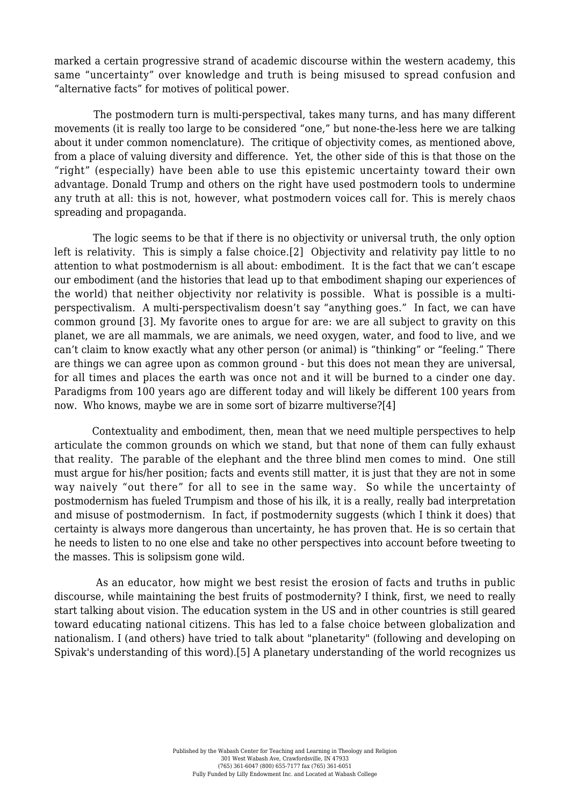marked a certain progressive strand of academic discourse within the western academy, this same "uncertainty" over knowledge and truth is being misused to spread confusion and "alternative facts" for motives of political power.

 The postmodern turn is multi-perspectival, takes many turns, and has many different movements (it is really too large to be considered "one," but none-the-less here we are talking about it under common nomenclature). The critique of objectivity comes, as mentioned above, from a place of valuing diversity and difference. Yet, the other side of this is that those on the "right" (especially) have been able to use this epistemic uncertainty toward their own advantage. Donald Trump and others on the right have used postmodern tools to undermine any truth at all: this is not, however, what postmodern voices call for. This is merely chaos spreading and propaganda.

 The logic seems to be that if there is no objectivity or universal truth, the only option left is relativity. This is simply a false choice[.\[2\]](https://www.wabashcenter.wabash.edu/2017/02/confronting-alternative-facts-in-a-post-modern-classroom-educating-planetary-citizens/#_ftn2) Objectivity and relativity pay little to no attention to what postmodernism is all about: embodiment. It is the fact that we can't escape our embodiment (and the histories that lead up to that embodiment shaping our experiences of the world) that neither objectivity nor relativity is possible. What is possible is a multiperspectivalism. A multi-perspectivalism doesn't say "anything goes." In fact, we can have common ground [\[3\]](https://www.wabashcenter.wabash.edu/2017/02/confronting-alternative-facts-in-a-post-modern-classroom-educating-planetary-citizens/#_ftn3). My favorite ones to argue for are: we are all subject to gravity on this planet, we are all mammals, we are animals, we need oxygen, water, and food to live, and we can't claim to know exactly what any other person (or animal) is "thinking" or "feeling." There are things we can agree upon as common ground - but this does not mean they are universal, for all times and places the earth was once not and it will be burned to a cinder one day. Paradigms from 100 years ago are different today and will likely be different 100 years from now. Who knows, maybe we are in some sort of bizarre multiverse[?\[4\]](https://www.wabashcenter.wabash.edu/2017/02/confronting-alternative-facts-in-a-post-modern-classroom-educating-planetary-citizens/#_ftn4)

 Contextuality and embodiment, then, mean that we need multiple perspectives to help articulate the common grounds on which we stand, but that none of them can fully exhaust that reality. The parable of the elephant and the three blind men comes to mind. One still must argue for his/her position; facts and events still matter, it is just that they are not in some way naively "out there" for all to see in the same way. So while the uncertainty of postmodernism has fueled Trumpism and those of his ilk, it is a really, really bad interpretation and misuse of postmodernism. In fact, if postmodernity suggests (which I think it does) that certainty is always more dangerous than uncertainty, he has proven that. He is so certain that he needs to listen to no one else and take no other perspectives into account before tweeting to the masses. This is solipsism gone wild.

 As an educator, how might we best resist the erosion of facts and truths in public discourse, while maintaining the best fruits of postmodernity? I think, first, we need to really start talking about vision. The education system in the US and in other countries is still geared toward educating national citizens. This has led to a false choice between globalization and nationalism. I (and others) have tried to talk about "planetarity" (following and developing on Spivak's understanding of this word)[.\[5\]](https://www.wabashcenter.wabash.edu/2017/02/confronting-alternative-facts-in-a-post-modern-classroom-educating-planetary-citizens/#_ftn5) A planetary understanding of the world recognizes us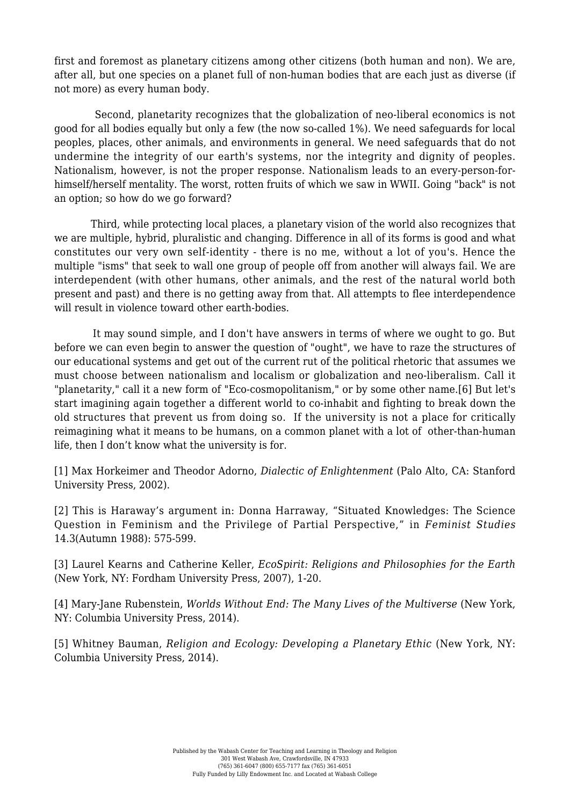first and foremost as planetary citizens among other citizens (both human and non). We are, after all, but one species on a planet full of non-human bodies that are each just as diverse (if not more) as every human body.

 Second, planetarity recognizes that the globalization of neo-liberal economics is not good for all bodies equally but only a few (the now so-called 1%). We need safeguards for local peoples, places, other animals, and environments in general. We need safeguards that do not undermine the integrity of our earth's systems, nor the integrity and dignity of peoples. Nationalism, however, is not the proper response. Nationalism leads to an every-person-forhimself/herself mentality. The worst, rotten fruits of which we saw in WWII. Going "back" is not an option; so how do we go forward?

 Third, while protecting local places, a planetary vision of the world also recognizes that we are multiple, hybrid, pluralistic and changing. Difference in all of its forms is good and what constitutes our very own self-identity - there is no me, without a lot of you's. Hence the multiple "isms" that seek to wall one group of people off from another will always fail. We are interdependent (with other humans, other animals, and the rest of the natural world both present and past) and there is no getting away from that. All attempts to flee interdependence will result in violence toward other earth-bodies.

 It may sound simple, and I don't have answers in terms of where we ought to go. But before we can even begin to answer the question of "ought", we have to raze the structures of our educational systems and get out of the current rut of the political rhetoric that assumes we must choose between nationalism and localism or globalization and neo-liberalism. Call it "planetarity," call it a new form of "Eco-cosmopolitanism," or by some other name.[\[6\]](https://www.wabashcenter.wabash.edu/2017/02/confronting-alternative-facts-in-a-post-modern-classroom-educating-planetary-citizens/#_ftn6) But let's start imagining again together a different world to co-inhabit and fighting to break down the old structures that prevent us from doing so. If the university is not a place for critically reimagining what it means to be humans, on a common planet with a lot of other-than-human life, then I don't know what the university is for.

[\[1\]](https://www.wabashcenter.wabash.edu/2017/02/confronting-alternative-facts-in-a-post-modern-classroom-educating-planetary-citizens/#_ftnref1) Max Horkeimer and Theodor Adorno, *Dialectic of Enlightenment* (Palo Alto, CA: Stanford University Press, 2002).

[\[2\]](https://www.wabashcenter.wabash.edu/2017/02/confronting-alternative-facts-in-a-post-modern-classroom-educating-planetary-citizens/#_ftnref2) This is Haraway's argument in: Donna Harraway, "Situated Knowledges: The Science Question in Feminism and the Privilege of Partial Perspective," in *Feminist Studies* 14.3(Autumn 1988): 575-599.

[\[3\]](https://www.wabashcenter.wabash.edu/2017/02/confronting-alternative-facts-in-a-post-modern-classroom-educating-planetary-citizens/#_ftnref3) Laurel Kearns and Catherine Keller, *EcoSpirit: Religions and Philosophies for the Earth* (New York, NY: Fordham University Press, 2007), 1-20.

[\[4\]](https://www.wabashcenter.wabash.edu/2017/02/confronting-alternative-facts-in-a-post-modern-classroom-educating-planetary-citizens/#_ftnref4) Mary-Jane Rubenstein, *Worlds Without End: The Many Lives of the Multiverse* (New York, NY: Columbia University Press, 2014).

[\[5\]](https://www.wabashcenter.wabash.edu/2017/02/confronting-alternative-facts-in-a-post-modern-classroom-educating-planetary-citizens/#_ftnref5) Whitney Bauman, *Religion and Ecology: Developing a Planetary Ethic* (New York, NY: Columbia University Press, 2014).